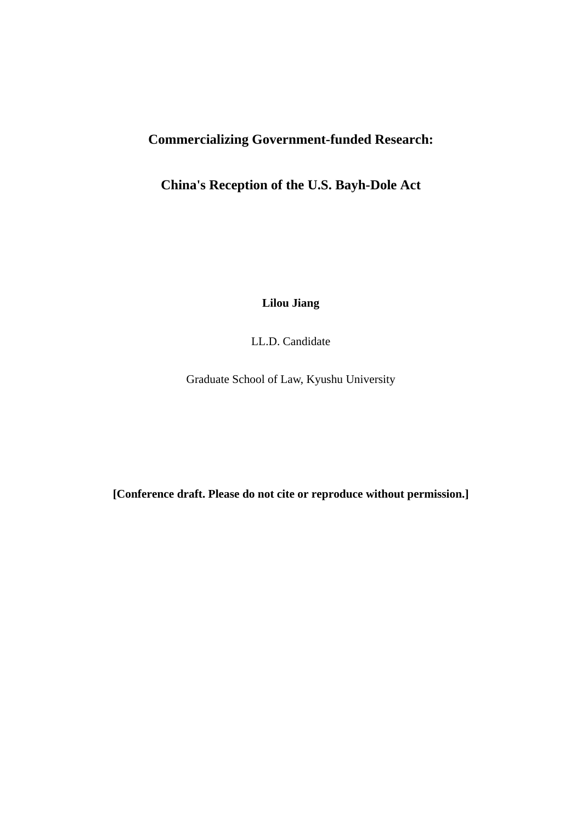# **Commercializing Government-funded Research:**

## **China's Reception of the U.S. Bayh-Dole Act**

**Lilou Jiang** 

LL.D. Candidate

Graduate School of Law, Kyushu University

**[Conference draft. Please do not cite or reproduce without permission.]**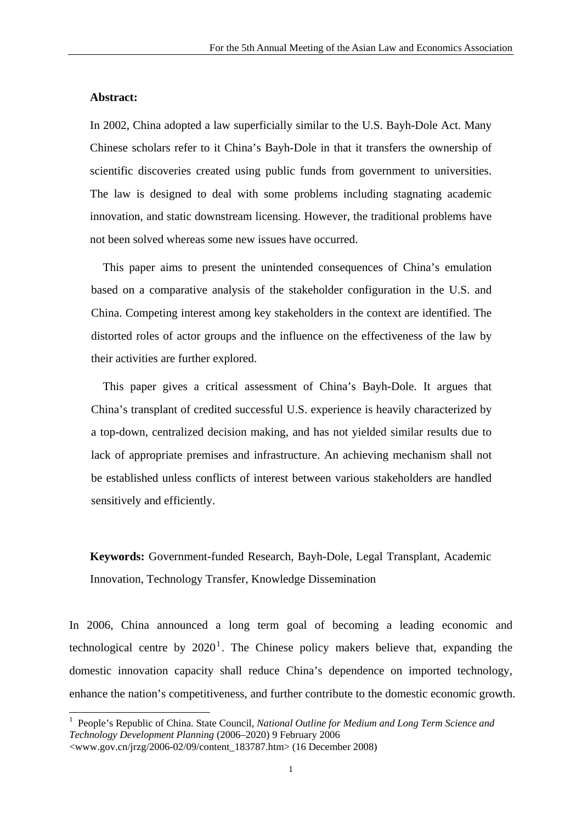#### **Abstract:**

<u>.</u>

In 2002, China adopted a law superficially similar to the U.S. Bayh-Dole Act. Many Chinese scholars refer to it China's Bayh-Dole in that it transfers the ownership of scientific discoveries created using public funds from government to universities. The law is designed to deal with some problems including stagnating academic innovation, and static downstream licensing. However, the traditional problems have not been solved whereas some new issues have occurred.

This paper aims to present the unintended consequences of China's emulation based on a comparative analysis of the stakeholder configuration in the U.S. and China. Competing interest among key stakeholders in the context are identified. The distorted roles of actor groups and the influence on the effectiveness of the law by their activities are further explored.

This paper gives a critical assessment of China's Bayh-Dole. It argues that China's transplant of credited successful U.S. experience is heavily characterized by a top-down, centralized decision making, and has not yielded similar results due to lack of appropriate premises and infrastructure. An achieving mechanism shall not be established unless conflicts of interest between various stakeholders are handled sensitively and efficiently.

**Keywords:** Government-funded Research, Bayh-Dole, Legal Transplant, Academic Innovation, Technology Transfer, Knowledge Dissemination

In 2006, China announced a long term goal of becoming a leading economic and technological centre by  $2020<sup>1</sup>$  $2020<sup>1</sup>$  $2020<sup>1</sup>$ . The Chinese policy makers believe that, expanding the domestic innovation capacity shall reduce China's dependence on imported technology, enhance the nation's competitiveness, and further contribute to the domestic economic growth.

<span id="page-1-0"></span><sup>&</sup>lt;sup>1</sup> People's Republic of China. State Council, *National Outline for Medium and Long Term Science and Technology Development Planning* (2006–2020) 9 February 2006 <www.gov.cn/jrzg/2006-02/09/content\_183787.htm> (16 December 2008)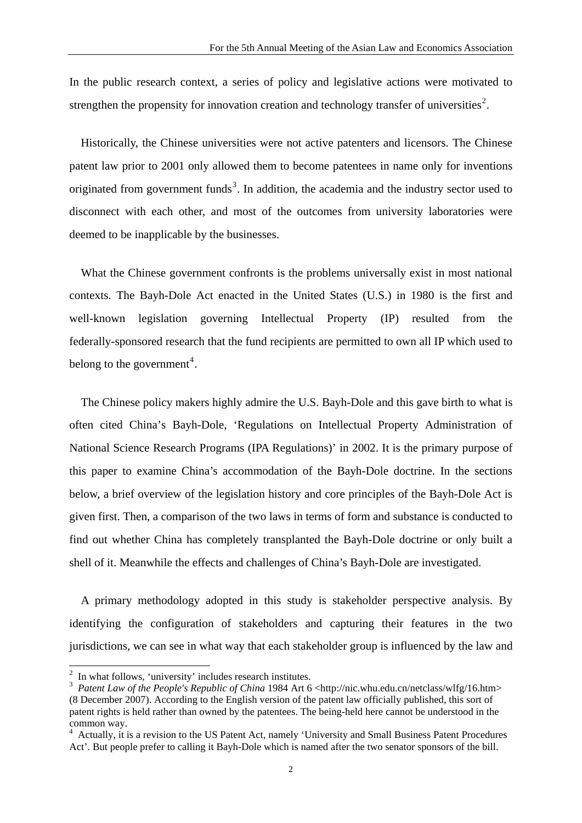In the public research context, a series of policy and legislative actions were motivated to strengthen the propensity for innovation creation and technology transfer of universities<sup>[2](#page-2-0)</sup>.

Historically, the Chinese universities were not active patenters and licensors. The Chinese patent law prior to 2001 only allowed them to become patentees in name only for inventions originated from government funds<sup>[3](#page-2-1)</sup>. In addition, the academia and the industry sector used to disconnect with each other, and most of the outcomes from university laboratories were deemed to be inapplicable by the businesses.

What the Chinese government confronts is the problems universally exist in most national contexts. The Bayh-Dole Act enacted in the United States (U.S.) in 1980 is the first and well-known legislation governing Intellectual Property (IP) resulted from the federally-sponsored research that the fund recipients are permitted to own all IP which used to belong to the government<sup>[4](#page-2-2)</sup>.

The Chinese policy makers highly admire the U.S. Bayh-Dole and this gave birth to what is often cited China's Bayh-Dole, 'Regulations on Intellectual Property Administration of National Science Research Programs (IPA Regulations)' in 2002. It is the primary purpose of this paper to examine China's accommodation of the Bayh-Dole doctrine. In the sections below, a brief overview of the legislation history and core principles of the Bayh-Dole Act is given first. Then, a comparison of the two laws in terms of form and substance is conducted to find out whether China has completely transplanted the Bayh-Dole doctrine or only built a shell of it. Meanwhile the effects and challenges of China's Bayh-Dole are investigated.

A primary methodology adopted in this study is stakeholder perspective analysis. By identifying the configuration of stakeholders and capturing their features in the two jurisdictions, we can see in what way that each stakeholder group is influenced by the law and

<sup>&</sup>lt;sup>2</sup> In what follows, 'university' includes research institutes.

<span id="page-2-1"></span><span id="page-2-0"></span><sup>&</sup>lt;sup>3</sup> Patent Law of the People's Republic of China 1984 Art 6 <http://nic.whu.edu.cn/netclass/wlfg/16.htm> (8 December 2007). According to the English version of the patent law officially published, this sort of patent rights is held rather than owned by the patentees. The being-held here cannot be understood in the common way.

<span id="page-2-2"></span><sup>4</sup> Actually, it is a revision to the US Patent Act, namely 'University and Small Business Patent Procedures Act'. But people prefer to calling it Bayh-Dole which is named after the two senator sponsors of the bill.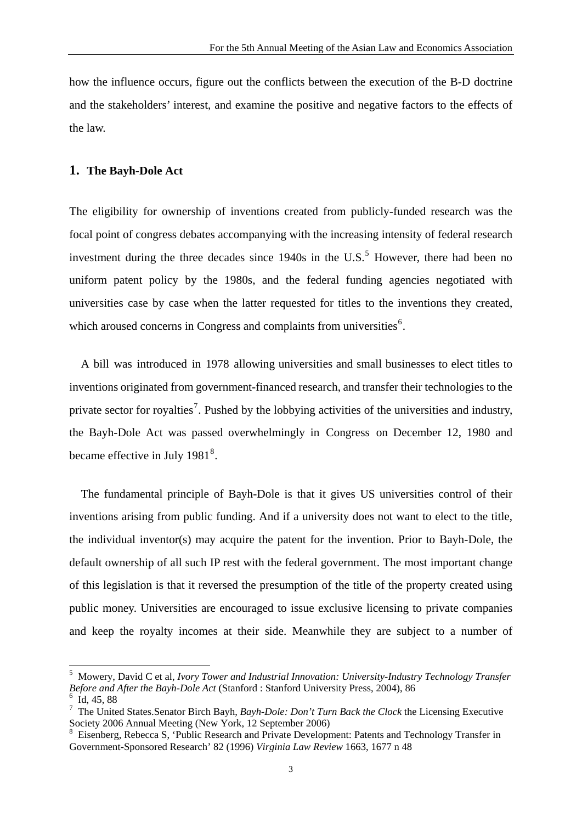how the influence occurs, figure out the conflicts between the execution of the B-D doctrine and the stakeholders' interest, and examine the positive and negative factors to the effects of the law.

#### **1. The Bayh-Dole Act**

The eligibility for ownership of inventions created from publicly-funded research was the focal point of congress debates accompanying with the increasing intensity of federal research investment during the three decades since  $1940s$  in the U.S.<sup>[5](#page-3-0)</sup> However, there had been no uniform patent policy by the 1980s, and the federal funding agencies negotiated with universities case by case when the latter requested for titles to the inventions they created, which aroused concerns in Congress and complaints from universities<sup>[6](#page-3-1)</sup>.

A bill was introduced in 1978 allowing universities and small businesses to elect titles to inventions originated from government-financed research, and transfer their technologies to the private sector for royalties<sup>[7](#page-3-2)</sup>. Pushed by the lobbying activities of the universities and industry, the Bayh-Dole Act was passed overwhelmingly in Congress on December 12, 1980 and became effective in July  $1981<sup>8</sup>$  $1981<sup>8</sup>$  $1981<sup>8</sup>$ .

The fundamental principle of Bayh-Dole is that it gives US universities control of their inventions arising from public funding. And if a university does not want to elect to the title, the individual inventor(s) may acquire the patent for the invention. Prior to Bayh-Dole, the default ownership of all such IP rest with the federal government. The most important change of this legislation is that it reversed the presumption of the title of the property created using public money. Universities are encouraged to issue exclusive licensing to private companies and keep the royalty incomes at their side. Meanwhile they are subject to a number of

<span id="page-3-0"></span><sup>5</sup> Mowery, David C et al, *Ivory Tower and Industrial Innovation: University-Industry Technology Transfer Before and After the Bayh-Dole Act* (Stanford : Stanford University Press, 2004), 86 6

<span id="page-3-1"></span>Id, 45, 88

<span id="page-3-2"></span><sup>7</sup> The United States.Senator Birch Bayh, *Bayh-Dole: Don't Turn Back the Clock* the Licensing Executive Society 2006 Annual Meeting (New York, 12 September 2006)

<span id="page-3-3"></span><sup>8</sup> Eisenberg, Rebecca S, 'Public Research and Private Development: Patents and Technology Transfer in Government-Sponsored Research' 82 (1996) *Virginia Law Review* 1663, 1677 n 48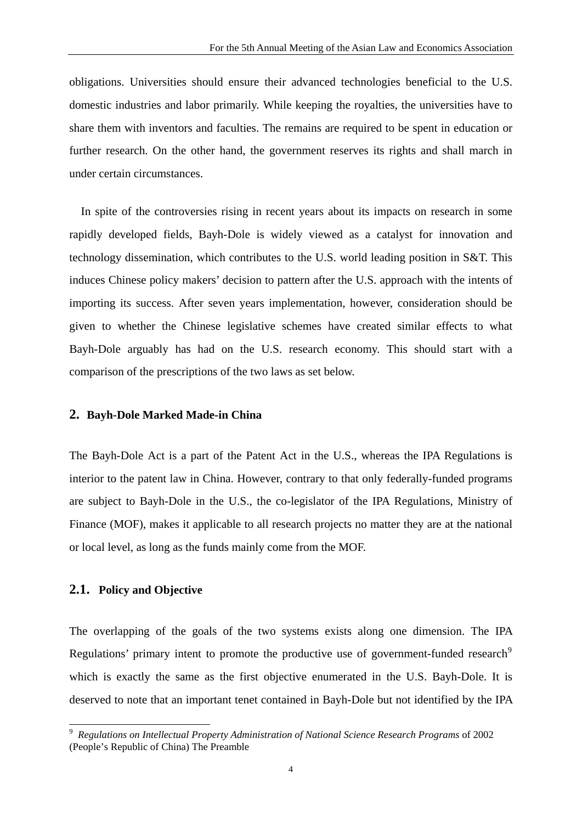obligations. Universities should ensure their advanced technologies beneficial to the U.S. domestic industries and labor primarily. While keeping the royalties, the universities have to share them with inventors and faculties. The remains are required to be spent in education or further research. On the other hand, the government reserves its rights and shall march in under certain circumstances.

In spite of the controversies rising in recent years about its impacts on research in some rapidly developed fields, Bayh-Dole is widely viewed as a catalyst for innovation and technology dissemination, which contributes to the U.S. world leading position in S&T. This induces Chinese policy makers' decision to pattern after the U.S. approach with the intents of importing its success. After seven years implementation, however, consideration should be given to whether the Chinese legislative schemes have created similar effects to what Bayh-Dole arguably has had on the U.S. research economy. This should start with a comparison of the prescriptions of the two laws as set below.

## **2. Bayh-Dole Marked Made-in China**

The Bayh-Dole Act is a part of the Patent Act in the U.S., whereas the IPA Regulations is interior to the patent law in China. However, contrary to that only federally-funded programs are subject to Bayh-Dole in the U.S., the co-legislator of the IPA Regulations, Ministry of Finance (MOF), makes it applicable to all research projects no matter they are at the national or local level, as long as the funds mainly come from the MOF.

#### **2.1. Policy and Objective**

<u>.</u>

The overlapping of the goals of the two systems exists along one dimension. The IPA Regulations' primary intent to promote the productive use of government-funded research<sup>[9](#page-4-0)</sup> which is exactly the same as the first objective enumerated in the U.S. Bayh-Dole. It is deserved to note that an important tenet contained in Bayh-Dole but not identified by the IPA

<span id="page-4-0"></span><sup>9</sup> *Regulations on Intellectual Property Administration of National Science Research Programs* of 2002 (People's Republic of China) The Preamble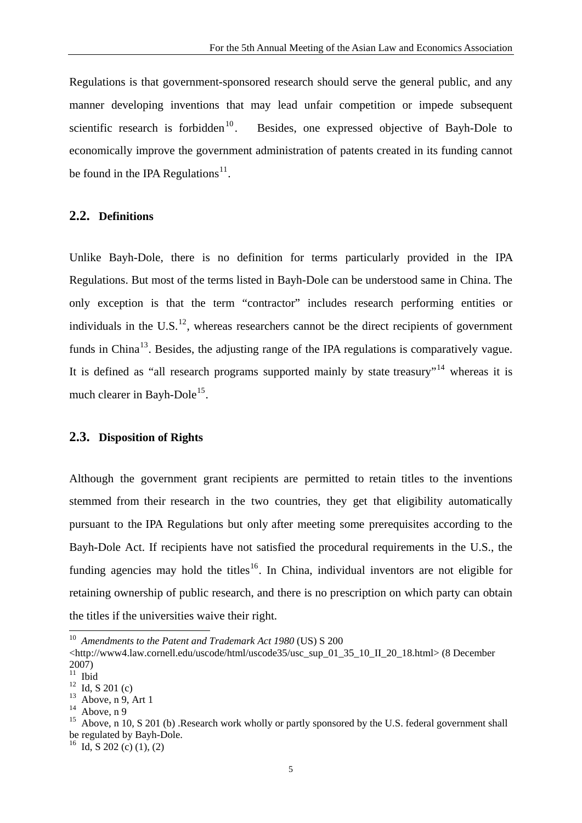Regulations is that government-sponsored research should serve the general public, and any manner developing inventions that may lead unfair competition or impede subsequent scientific research is forbidden<sup>[10](#page-5-0)</sup>. Besides, one expressed objective of Bayh-Dole to economically improve the government administration of patents created in its funding cannot be found in the IPA Regulations<sup>[11](#page-5-1)</sup>.

## **2.2. Definitions**

Unlike Bayh-Dole, there is no definition for terms particularly provided in the IPA Regulations. But most of the terms listed in Bayh-Dole can be understood same in China. The only exception is that the term "contractor" includes research performing entities or individuals in the U.S.<sup>[12](#page-5-2)</sup>, whereas researchers cannot be the direct recipients of government funds in China<sup>[13](#page-5-3)</sup>. Besides, the adjusting range of the IPA regulations is comparatively vague. It is defined as "all research programs supported mainly by state treasury"<sup>[14](#page-5-4)</sup> whereas it is much clearer in Bayh-Dole<sup>[15](#page-5-5)</sup>.

## **2.3. Disposition of Rights**

Although the government grant recipients are permitted to retain titles to the inventions stemmed from their research in the two countries, they get that eligibility automatically pursuant to the IPA Regulations but only after meeting some prerequisites according to the Bayh-Dole Act. If recipients have not satisfied the procedural requirements in the U.S., the funding agencies may hold the titles<sup>[16](#page-5-6)</sup>. In China, individual inventors are not eligible for retaining ownership of public research, and there is no prescription on which party can obtain the titles if the universities waive their right.

<u>.</u>

<span id="page-5-6"></span> $^{16}$  Id, S 202 (c) (1), (2)

<span id="page-5-0"></span><sup>10</sup> *Amendments to the Patent and Trademark Act 1980* (US) S 200

<sup>&</sup>lt;http://www4.law.cornell.edu/uscode/html/uscode35/usc\_sup\_01\_35\_10\_II\_20\_18.html> (8 December 2007)

<span id="page-5-1"></span> $\frac{20}{11}$  Ibid

<span id="page-5-2"></span> $12$  Id, S 201 (c)

<span id="page-5-3"></span> $13$  Above, n 9, Art 1

 $14$  Above, n 9

<span id="page-5-5"></span><span id="page-5-4"></span><sup>&</sup>lt;sup>15</sup> Above, n 10, S 201 (b) .Research work wholly or partly sponsored by the U.S. federal government shall be regulated by Bayh-Dole.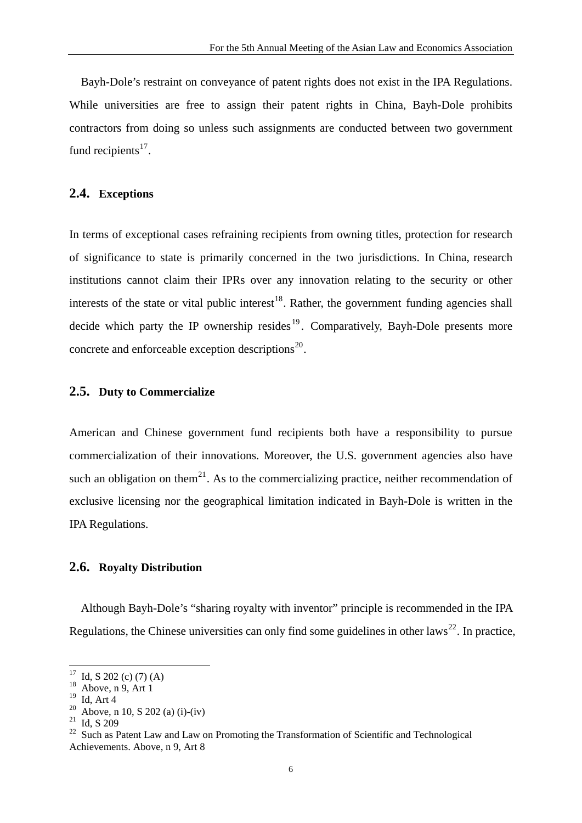Bayh-Dole's restraint on conveyance of patent rights does not exist in the IPA Regulations. While universities are free to assign their patent rights in China, Bayh-Dole prohibits contractors from doing so unless such assignments are conducted between two government fund recipients $^{17}$  $^{17}$  $^{17}$ .

## **2.4. Exceptions**

In terms of exceptional cases refraining recipients from owning titles, protection for research of significance to state is primarily concerned in the two jurisdictions. In China, research institutions cannot claim their IPRs over any innovation relating to the security or other interests of the state or vital public interest<sup>[18](#page-6-1)</sup>. Rather, the government funding agencies shall decide which party the IP ownership resides  $19$ . Comparatively, Bayh-Dole presents more concrete and enforceable exception descriptions $^{20}$  $^{20}$  $^{20}$ .

## **2.5. Duty to Commercialize**

American and Chinese government fund recipients both have a responsibility to pursue commercialization of their innovations. Moreover, the U.S. government agencies also have such an obligation on them<sup>[21](#page-6-4)</sup>. As to the commercializing practice, neither recommendation of exclusive licensing nor the geographical limitation indicated in Bayh-Dole is written in the IPA Regulations.

## **2.6. Royalty Distribution**

Although Bayh-Dole's "sharing royalty with inventor" principle is recommended in the IPA Regulations, the Chinese universities can only find some guidelines in other laws<sup>[22](#page-6-5)</sup>. In practice,

 $17$  Id, S 202 (c) (7) (A)

<span id="page-6-1"></span><span id="page-6-0"></span> $18$  Above, n 9, Art 1

<sup>19</sup> Id, Art 4

<span id="page-6-3"></span><span id="page-6-2"></span><sup>&</sup>lt;sup>20</sup> Above, n 10, S 202 (a) (i)-(iv)

<span id="page-6-4"></span><sup>21</sup> Id, S 209

<span id="page-6-5"></span><sup>&</sup>lt;sup>22</sup> Such as Patent Law and Law on Promoting the Transformation of Scientific and Technological Achievements. Above, n 9, Art 8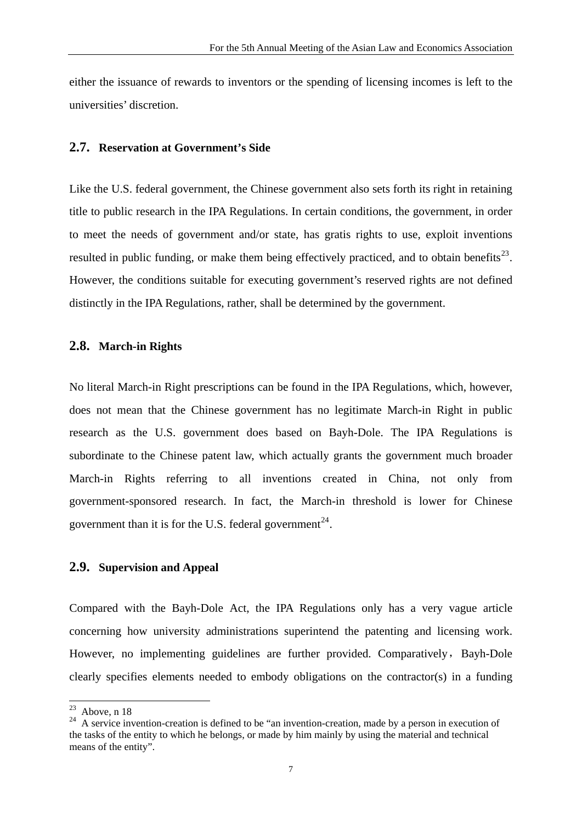either the issuance of rewards to inventors or the spending of licensing incomes is left to the universities' discretion.

## **2.7. Reservation at Government's Side**

Like the U.S. federal government, the Chinese government also sets forth its right in retaining title to public research in the IPA Regulations. In certain conditions, the government, in order to meet the needs of government and/or state, has gratis rights to use, exploit inventions resulted in public funding, or make them being effectively practiced, and to obtain benefits<sup>[23](#page-7-0)</sup>. However, the conditions suitable for executing government's reserved rights are not defined distinctly in the IPA Regulations, rather, shall be determined by the government.

#### **2.8. March-in Rights**

No literal March-in Right prescriptions can be found in the IPA Regulations, which, however, does not mean that the Chinese government has no legitimate March-in Right in public research as the U.S. government does based on Bayh-Dole. The IPA Regulations is subordinate to the Chinese patent law, which actually grants the government much broader March-in Rights referring to all inventions created in China, not only from government-sponsored research. In fact, the March-in threshold is lower for Chinese government than it is for the U.S. federal government<sup>[24](#page-7-1)</sup>.

## **2.9. Supervision and Appeal**

Compared with the Bayh-Dole Act, the IPA Regulations only has a very vague article concerning how university administrations superintend the patenting and licensing work. However, no implementing guidelines are further provided. Comparatively, Bayh-Dole clearly specifies elements needed to embody obligations on the contractor(s) in a funding

<span id="page-7-0"></span><sup>23</sup> Above, n 18

<span id="page-7-1"></span> $24$  A service invention-creation is defined to be "an invention-creation, made by a person in execution of the tasks of the entity to which he belongs, or made by him mainly by using the material and technical means of the entity".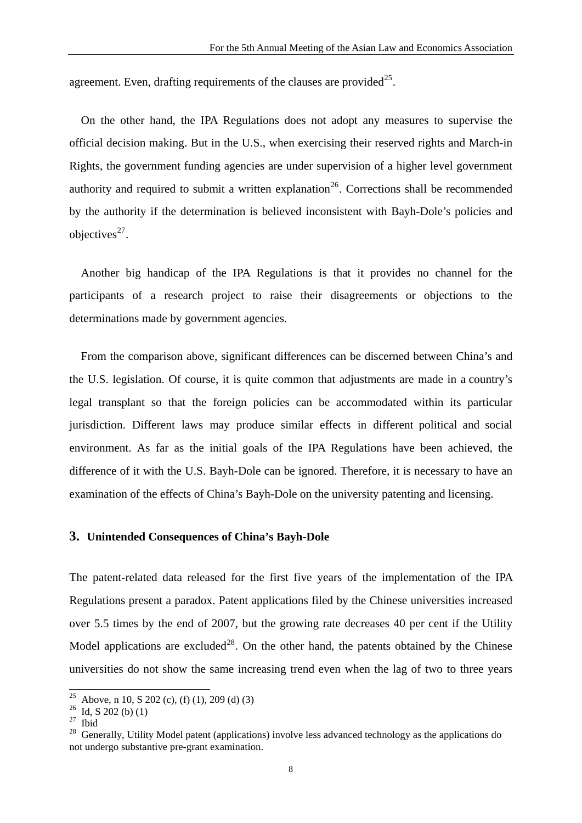agreement. Even, drafting requirements of the clauses are provided<sup>[25](#page-8-0)</sup>.

On the other hand, the IPA Regulations does not adopt any measures to supervise the official decision making. But in the U.S., when exercising their reserved rights and March-in Rights, the government funding agencies are under supervision of a higher level government authority and required to submit a written explanation<sup>[26](#page-8-1)</sup>. Corrections shall be recommended by the authority if the determination is believed inconsistent with Bayh-Dole's policies and objectives $^{27}$  $^{27}$  $^{27}$ .

Another big handicap of the IPA Regulations is that it provides no channel for the participants of a research project to raise their disagreements or objections to the determinations made by government agencies.

From the comparison above, significant differences can be discerned between China's and the U.S. legislation. Of course, it is quite common that adjustments are made in a country's legal transplant so that the foreign policies can be accommodated within its particular jurisdiction. Different laws may produce similar effects in different political and social environment. As far as the initial goals of the IPA Regulations have been achieved, the difference of it with the U.S. Bayh-Dole can be ignored. Therefore, it is necessary to have an examination of the effects of China's Bayh-Dole on the university patenting and licensing.

## **3. Unintended Consequences of China's Bayh-Dole**

The patent-related data released for the first five years of the implementation of the IPA Regulations present a paradox. Patent applications filed by the Chinese universities increased over 5.5 times by the end of 2007, but the growing rate decreases 40 per cent if the Utility Model applications are excluded<sup>[28](#page-8-3)</sup>. On the other hand, the patents obtained by the Chinese universities do not show the same increasing trend even when the lag of two to three years

<sup>25</sup> Above, n 10, S 202 (c), (f) (1), 209 (d) (3)

<span id="page-8-1"></span><span id="page-8-0"></span> $^{26}$  Id, S 202 (b) (1)

<span id="page-8-2"></span><sup>27</sup> Ibid

<span id="page-8-3"></span><sup>&</sup>lt;sup>28</sup> Generally, Utility Model patent (applications) involve less advanced technology as the applications do not undergo substantive pre-grant examination.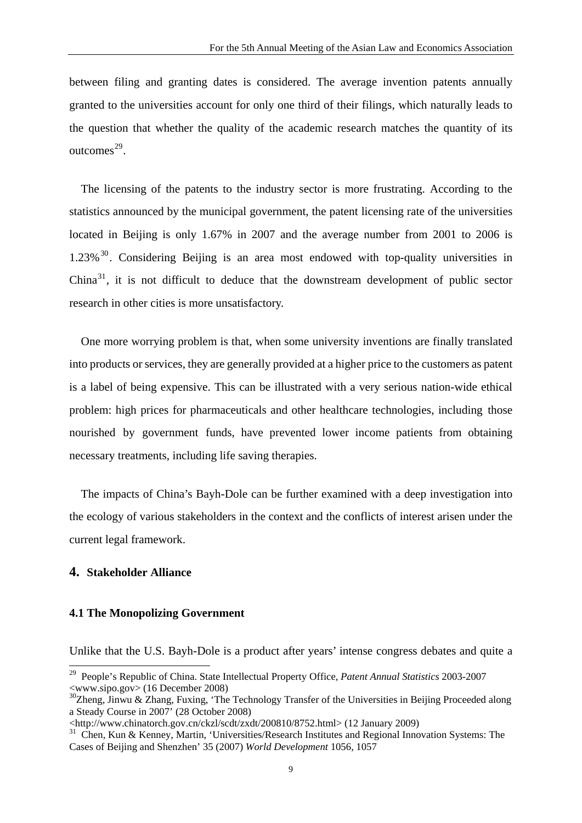between filing and granting dates is considered. The average invention patents annually granted to the universities account for only one third of their filings, which naturally leads to the question that whether the quality of the academic research matches the quantity of its outcomes $^{29}$  $^{29}$  $^{29}$ .

The licensing of the patents to the industry sector is more frustrating. According to the statistics announced by the municipal government, the patent licensing rate of the universities located in Beijing is only 1.67% in 2007 and the average number from 2001 to 2006 is  $1.23\%$ <sup>[30](#page-9-1)</sup>. Considering Beijing is an area most endowed with top-quality universities in  $China<sup>31</sup>$  $China<sup>31</sup>$  $China<sup>31</sup>$ , it is not difficult to deduce that the downstream development of public sector research in other cities is more unsatisfactory.

One more worrying problem is that, when some university inventions are finally translated into products or services, they are generally provided at a higher price to the customers as patent is a label of being expensive. This can be illustrated with a very serious nation-wide ethical problem: high prices for pharmaceuticals and other healthcare technologies, including those nourished by government funds, have prevented lower income patients from obtaining necessary treatments, including life saving therapies.

The impacts of China's Bayh-Dole can be further examined with a deep investigation into the ecology of various stakeholders in the context and the conflicts of interest arisen under the current legal framework.

## **4. Stakeholder Alliance**

<u>.</u>

## **4.1 The Monopolizing Government**

Unlike that the U.S. Bayh-Dole is a product after years' intense congress debates and quite a

<span id="page-9-0"></span><sup>29</sup> People's Republic of China. State Intellectual Property Office, *Patent Annual Statistics* 2003-2007 <www.sipo.gov> (16 December 2008)

<span id="page-9-1"></span> $30$ Zheng, Jinwu & Zhang, Fuxing, 'The Technology Transfer of the Universities in Beijing Proceeded along a Steady Course in 2007' (28 October 2008)

<sup>&</sup>lt;http://www.chinatorch.gov.cn/ckzl/scdt/zxdt/200810/8752.html> (12 January 2009)

<span id="page-9-2"></span><sup>&</sup>lt;sup>31</sup> Chen, Kun & Kenney, Martin, 'Universities/Research Institutes and Regional Innovation Systems: The Cases of Beijing and Shenzhen' 35 (2007) *World Development* 1056, 1057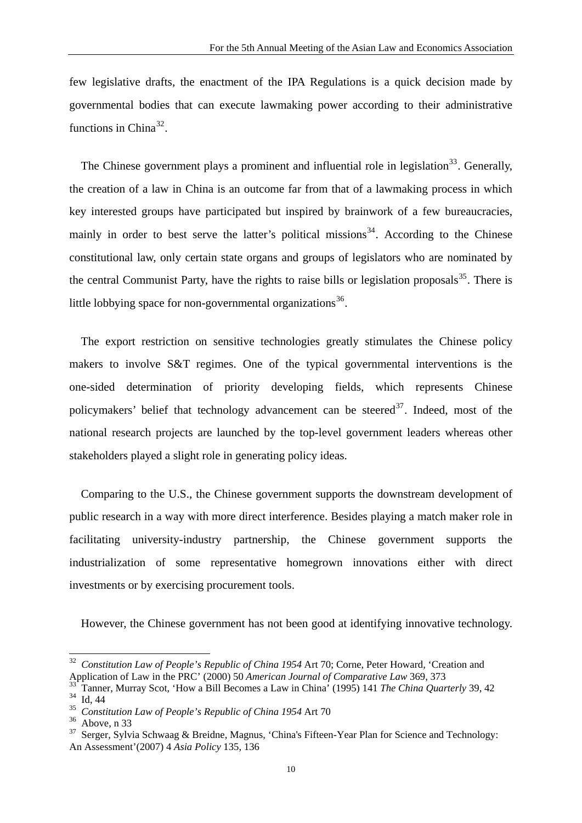few legislative drafts, the enactment of the IPA Regulations is a quick decision made by governmental bodies that can execute lawmaking power according to their administrative functions in China<sup>[32](#page-10-0)</sup>.

The Chinese government plays a prominent and influential role in legislation<sup>[33](#page-10-1)</sup>. Generally, the creation of a law in China is an outcome far from that of a lawmaking process in which key interested groups have participated but inspired by brainwork of a few bureaucracies, mainly in order to best serve the latter's political missions<sup>[34](#page-10-2)</sup>. According to the Chinese constitutional law, only certain state organs and groups of legislators who are nominated by the central Communist Party, have the rights to raise bills or legislation proposals $^{35}$  $^{35}$  $^{35}$ . There is little lobbying space for non-governmental organizations<sup>[36](#page-10-4)</sup>.

The export restriction on sensitive technologies greatly stimulates the Chinese policy makers to involve S&T regimes. One of the typical governmental interventions is the one-sided determination of priority developing fields, which represents Chinese policymakers' belief that technology advancement can be steered $3^7$ . Indeed, most of the national research projects are launched by the top-level government leaders whereas other stakeholders played a slight role in generating policy ideas.

Comparing to the U.S., the Chinese government supports the downstream development of public research in a way with more direct interference. Besides playing a match maker role in facilitating university-industry partnership, the Chinese government supports the industrialization of some representative homegrown innovations either with direct investments or by exercising procurement tools.

However, the Chinese government has not been good at identifying innovative technology.

<span id="page-10-0"></span><sup>32</sup> *Constitution Law of People's Republic of China 1954* Art 70; Corne, Peter Howard, 'Creation and Application of Law in the PRC' (2000) 50 *American Journal of Comparative Law* 369, 373

<span id="page-10-1"></span><sup>33</sup> Tanner, Murray Scot, 'How a Bill Becomes a Law in China' (1995) 141 *The China Quarterly* 39, 42  $34$  Id, 44

<span id="page-10-3"></span><span id="page-10-2"></span><sup>35</sup> *Constitution Law of People's Republic of China 1954* Art 70

<span id="page-10-4"></span> $36$  Above, n 33

<span id="page-10-5"></span><sup>&</sup>lt;sup>37</sup> Serger, Sylvia Schwaag & Breidne, Magnus, 'China's Fifteen-Year Plan for Science and Technology: An Assessment'(2007) 4 *Asia Policy* 135, 136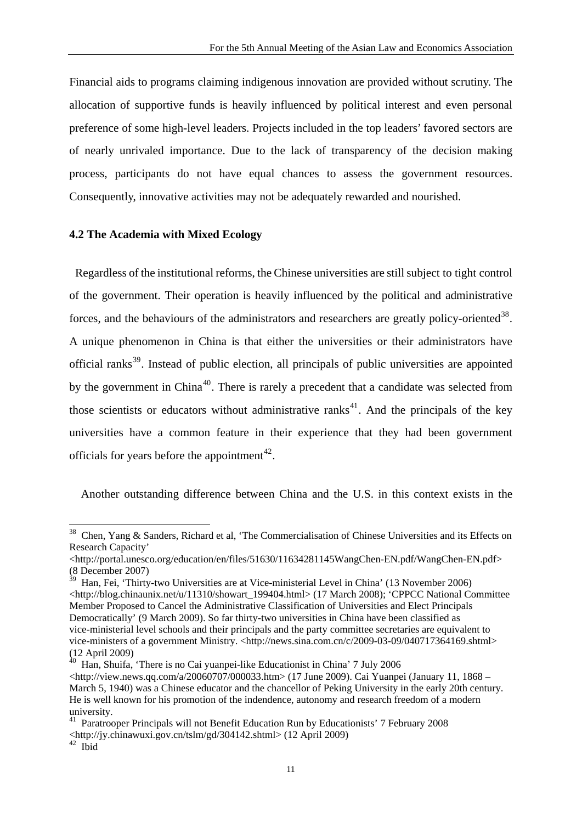Financial aids to programs claiming indigenous innovation are provided without scrutiny. The allocation of supportive funds is heavily influenced by political interest and even personal preference of some high-level leaders. Projects included in the top leaders' favored sectors are of nearly unrivaled importance. Due to the lack of transparency of the decision making process, participants do not have equal chances to assess the government resources. Consequently, innovative activities may not be adequately rewarded and nourished.

### **4.2 The Academia with Mixed Ecology**

Regardless of the institutional reforms, the Chinese universities are still subject to tight control of the government. Their operation is heavily influenced by the political and administrative forces, and the behaviours of the administrators and researchers are greatly policy-oriented<sup>[38](#page-11-0)</sup>. A unique phenomenon in China is that either the universities or their administrators have official ranks<sup>[39](#page-11-1)</sup>. Instead of public election, all principals of public universities are appointed by the government in China<sup>[40](#page-11-2)</sup>. There is rarely a precedent that a candidate was selected from those scientists or educators without administrative ranks<sup>[41](#page-11-3)</sup>. And the principals of the key universities have a common feature in their experience that they had been government officials for years before the appointment<sup>[42](#page-11-4)</sup>.

Another outstanding difference between China and the U.S. in this context exists in the

<span id="page-11-0"></span><sup>38</sup> Chen, Yang & Sanders, Richard et al, 'The Commercialisation of Chinese Universities and its Effects on Research Capacity'

<sup>&</sup>lt;http://portal.unesco.org/education/en/files/51630/11634281145WangChen-EN.pdf/WangChen-EN.pdf> (8 December 2007)

<span id="page-11-1"></span><sup>39</sup> Han, Fei, 'Thirty-two Universities are at Vice-ministerial Level in China' (13 November 2006) <http://blog.chinaunix.net/u/11310/showart\_199404.html> (17 March 2008); 'CPPCC National Committee Member Proposed to Cancel the Administrative Classification of Universities and Elect Principals Democratically' (9 March 2009). So far thirty-two universities in China have been classified as vice-ministerial level schools and their principals and the party committee secretaries are equivalent to vice-ministers of a government Ministry. <http://news.sina.com.cn/c/2009-03-09/040717364169.shtml> (12 April 2009)

<span id="page-11-2"></span> $40$  Han, Shuifa, 'There is no Cai yuanpei-like Educationist in China' 7 July 2006  $\lt$ http://view.news.qq.com/a/20060707/000033.htm> (17 June 2009). Cai Yuanpei (January 11, 1868 – March 5, 1940) was a Chinese educator and the chancellor of Peking University in the early 20th century. He is well known for his promotion of the indendence, autonomy and research freedom of a modern university.

<span id="page-11-3"></span><sup>&</sup>lt;sup>41</sup> Paratrooper Principals will not Benefit Education Run by Educationists' 7 February 2008 <http://jy.chinawuxi.gov.cn/tslm/gd/304142.shtml> (12 April 2009)

<span id="page-11-4"></span> $42$  Ibid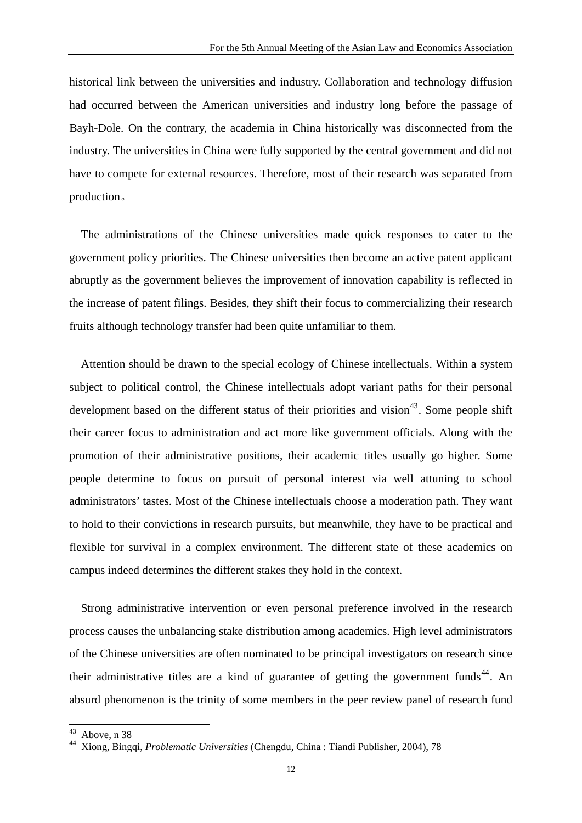historical link between the universities and industry. Collaboration and technology diffusion had occurred between the American universities and industry long before the passage of Bayh-Dole. On the contrary, the academia in China historically was disconnected from the industry. The universities in China were fully supported by the central government and did not have to compete for external resources. Therefore, most of their research was separated from production。

The administrations of the Chinese universities made quick responses to cater to the government policy priorities. The Chinese universities then become an active patent applicant abruptly as the government believes the improvement of innovation capability is reflected in the increase of patent filings. Besides, they shift their focus to commercializing their research fruits although technology transfer had been quite unfamiliar to them.

Attention should be drawn to the special ecology of Chinese intellectuals. Within a system subject to political control, the Chinese intellectuals adopt variant paths for their personal development based on the different status of their priorities and vision<sup>[43](#page-12-0)</sup>. Some people shift their career focus to administration and act more like government officials. Along with the promotion of their administrative positions, their academic titles usually go higher. Some people determine to focus on pursuit of personal interest via well attuning to school administrators' tastes. Most of the Chinese intellectuals choose a moderation path. They want to hold to their convictions in research pursuits, but meanwhile, they have to be practical and flexible for survival in a complex environment. The different state of these academics on campus indeed determines the different stakes they hold in the context.

Strong administrative intervention or even personal preference involved in the research process causes the unbalancing stake distribution among academics. High level administrators of the Chinese universities are often nominated to be principal investigators on research since their administrative titles are a kind of guarantee of getting the government funds<sup>[44](#page-12-1)</sup>. An absurd phenomenon is the trinity of some members in the peer review panel of research fund

Above, n 38

<span id="page-12-1"></span><span id="page-12-0"></span><sup>44</sup> Xiong, Bingqi, *Problematic Universities* (Chengdu, China : Tiandi Publisher, 2004), 78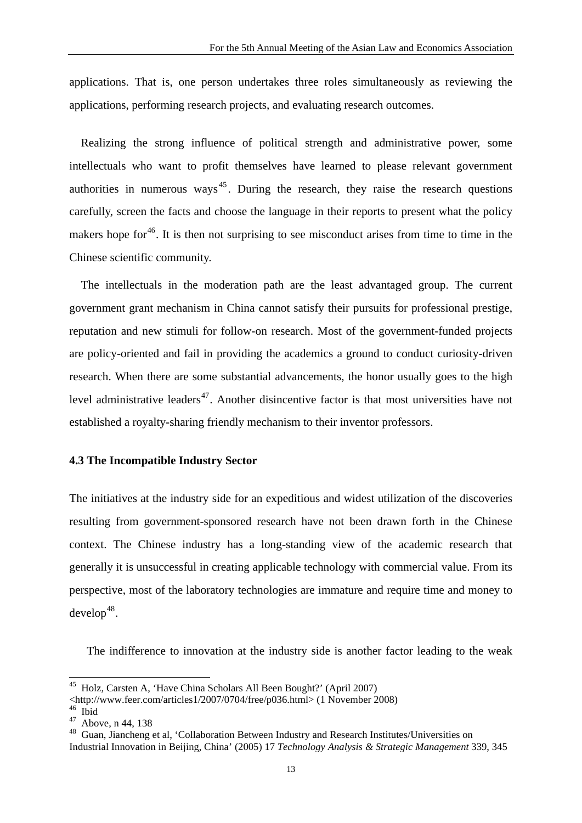applications. That is, one person undertakes three roles simultaneously as reviewing the applications, performing research projects, and evaluating research outcomes.

Realizing the strong influence of political strength and administrative power, some intellectuals who want to profit themselves have learned to please relevant government authorities in numerous ways<sup> $45$ </sup>. During the research, they raise the research questions carefully, screen the facts and choose the language in their reports to present what the policy makers hope for  $46$ . It is then not surprising to see misconduct arises from time to time in the Chinese scientific community.

The intellectuals in the moderation path are the least advantaged group. The current government grant mechanism in China cannot satisfy their pursuits for professional prestige, reputation and new stimuli for follow-on research. Most of the government-funded projects are policy-oriented and fail in providing the academics a ground to conduct curiosity-driven research. When there are some substantial advancements, the honor usually goes to the high level administrative leaders<sup>[47](#page-13-2)</sup>. Another disincentive factor is that most universities have not established a royalty-sharing friendly mechanism to their inventor professors.

## **4.3 The Incompatible Industry Sector**

The initiatives at the industry side for an expeditious and widest utilization of the discoveries resulting from government-sponsored research have not been drawn forth in the Chinese context. The Chinese industry has a long-standing view of the academic research that generally it is unsuccessful in creating applicable technology with commercial value. From its perspective, most of the laboratory technologies are immature and require time and money to  $develop<sup>48</sup>$  $develop<sup>48</sup>$  $develop<sup>48</sup>$ .

The indifference to innovation at the industry side is another factor leading to the weak

<span id="page-13-0"></span><sup>&</sup>lt;sup>45</sup> Holz, Carsten A, 'Have China Scholars All Been Bought?' (April 2007)

<sup>&</sup>lt;http://www.feer.com/articles1/2007/0704/free/p036.html> (1 November 2008)

<sup>46</sup> Ibid

<span id="page-13-2"></span><span id="page-13-1"></span> $47$  Above, n 44, 138

<span id="page-13-3"></span><sup>48</sup> Guan, Jiancheng et al, 'Collaboration Between Industry and Research Institutes/Universities on Industrial Innovation in Beijing, China' (2005) 17 *Technology Analysis & Strategic Management* 339, 345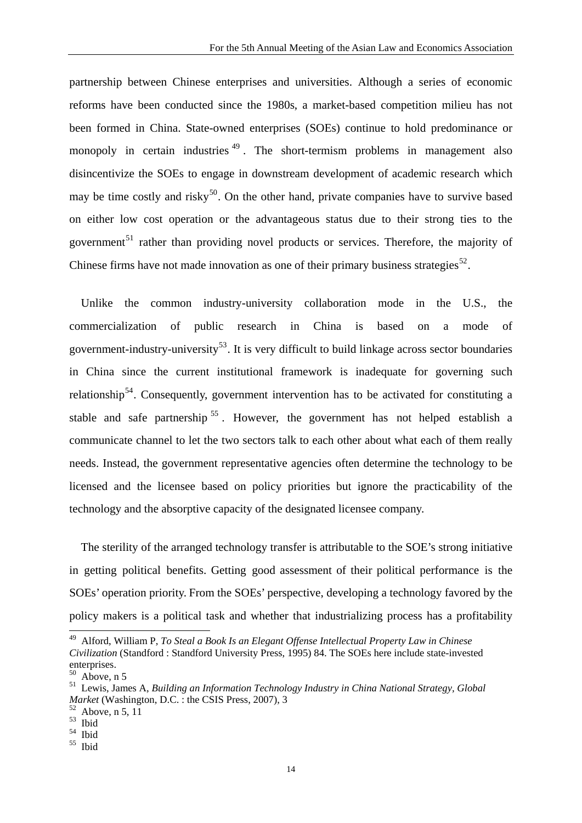partnership between Chinese enterprises and universities. Although a series of economic reforms have been conducted since the 1980s, a market-based competition milieu has not been formed in China. State-owned enterprises (SOEs) continue to hold predominance or monopoly in certain industries  $49$ . The short-termism problems in management also disincentivize the SOEs to engage in downstream development of academic research which may be time costly and risky<sup>[50](#page-14-1)</sup>. On the other hand, private companies have to survive based on either low cost operation or the advantageous status due to their strong ties to the government<sup>[51](#page-14-2)</sup> rather than providing novel products or services. Therefore, the majority of Chinese firms have not made innovation as one of their primary business strategies<sup>[52](#page-14-3)</sup>.

Unlike the common industry-university collaboration mode in the U.S., the commercialization of public research in China is based on a mode of government-industry-university<sup>[53](#page-14-4)</sup>. It is very difficult to build linkage across sector boundaries in China since the current institutional framework is inadequate for governing such relationship<sup>[54](#page-14-5)</sup>. Consequently, government intervention has to be activated for constituting a stable and safe partnership<sup>[55](#page-14-6)</sup>. However, the government has not helped establish a communicate channel to let the two sectors talk to each other about what each of them really needs. Instead, the government representative agencies often determine the technology to be licensed and the licensee based on policy priorities but ignore the practicability of the technology and the absorptive capacity of the designated licensee company.

The sterility of the arranged technology transfer is attributable to the SOE's strong initiative in getting political benefits. Getting good assessment of their political performance is the SOEs' operation priority. From the SOEs' perspective, developing a technology favored by the policy makers is a political task and whether that industrializing process has a profitability

<span id="page-14-0"></span><sup>49</sup> Alford, William P, *To Steal a Book Is an Elegant Offense Intellectual Property Law in Chinese Civilization* (Standford : Standford University Press, 1995) 84. The SOEs here include state-invested enterprises.

Above, n 5

<span id="page-14-2"></span><span id="page-14-1"></span><sup>51</sup> Lewis, James A, *Building an Information Technology Industry in China National Strategy, Global Arket* (Washington, D.C. : the CSIS Press, 2007), 3<sup>52</sup> Above, n 5, 11

<span id="page-14-4"></span><span id="page-14-3"></span><sup>53</sup> Ibid

<span id="page-14-5"></span><sup>54</sup> Ibid

<span id="page-14-6"></span><sup>55</sup> Ibid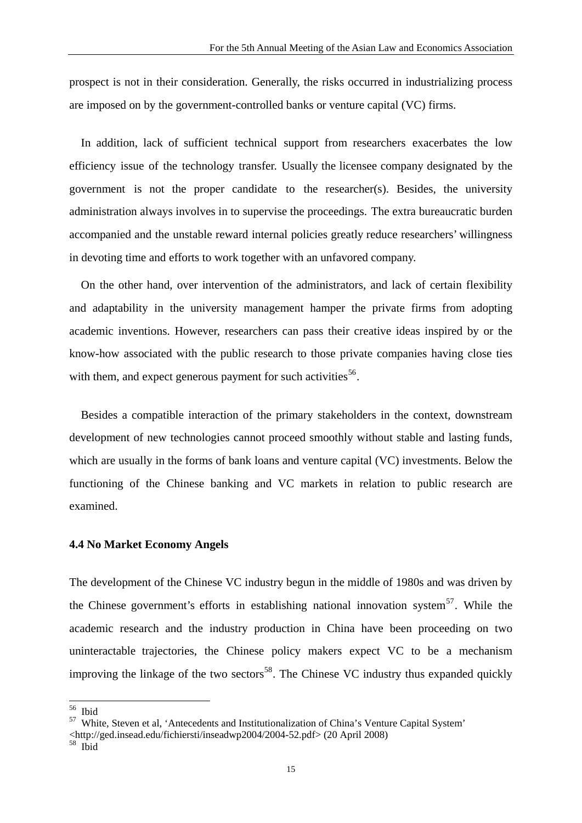prospect is not in their consideration. Generally, the risks occurred in industrializing process are imposed on by the government-controlled banks or venture capital (VC) firms.

In addition, lack of sufficient technical support from researchers exacerbates the low efficiency issue of the technology transfer. Usually the licensee company designated by the government is not the proper candidate to the researcher(s). Besides, the university administration always involves in to supervise the proceedings. The extra bureaucratic burden accompanied and the unstable reward internal policies greatly reduce researchers' willingness in devoting time and efforts to work together with an unfavored company.

On the other hand, over intervention of the administrators, and lack of certain flexibility and adaptability in the university management hamper the private firms from adopting academic inventions. However, researchers can pass their creative ideas inspired by or the know-how associated with the public research to those private companies having close ties with them, and expect generous payment for such activities  $56$ .

Besides a compatible interaction of the primary stakeholders in the context, downstream development of new technologies cannot proceed smoothly without stable and lasting funds, which are usually in the forms of bank loans and venture capital (VC) investments. Below the functioning of the Chinese banking and VC markets in relation to public research are examined.

## **4.4 No Market Economy Angels**

The development of the Chinese VC industry begun in the middle of 1980s and was driven by the Chinese government's efforts in establishing national innovation system<sup>[57](#page-15-1)</sup>. While the academic research and the industry production in China have been proceeding on two uninteractable trajectories, the Chinese policy makers expect VC to be a mechanism improving the linkage of the two sectors<sup>[58](#page-15-2)</sup>. The Chinese VC industry thus expanded quickly

<span id="page-15-0"></span><sup>56</sup> Ibid

<span id="page-15-1"></span><sup>57</sup> White, Steven et al, 'Antecedents and Institutionalization of China's Venture Capital System'

 $\leq$ http://ged.insead.edu/fichiersti/inseadwp2004/2004-52.pdf> (20 April 2008) $^{58}$  Ibid

<span id="page-15-2"></span>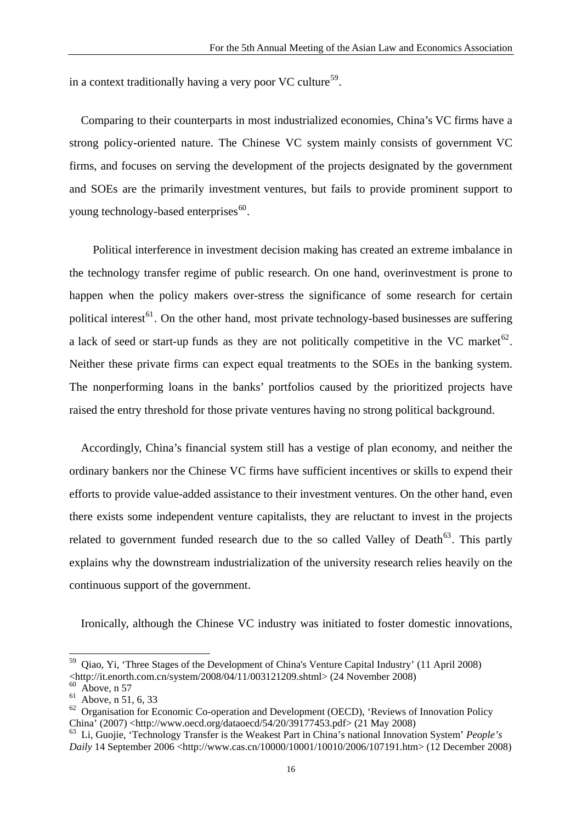in a context traditionally having a very poor VC culture<sup>[59](#page-16-0)</sup>.

Comparing to their counterparts in most industrialized economies, China's VC firms have a strong policy-oriented nature. The Chinese VC system mainly consists of government VC firms, and focuses on serving the development of the projects designated by the government and SOEs are the primarily investment ventures, but fails to provide prominent support to young technology-based enterprises $60$ .

Political interference in investment decision making has created an extreme imbalance in the technology transfer regime of public research. On one hand, overinvestment is prone to happen when the policy makers over-stress the significance of some research for certain political interest<sup>[61](#page-16-2)</sup>. On the other hand, most private technology-based businesses are suffering a lack of seed or start-up funds as they are not politically competitive in the VC market<sup>[62](#page-16-3)</sup>. Neither these private firms can expect equal treatments to the SOEs in the banking system. The nonperforming loans in the banks' portfolios caused by the prioritized projects have raised the entry threshold for those private ventures having no strong political background.

Accordingly, China's financial system still has a vestige of plan economy, and neither the ordinary bankers nor the Chinese VC firms have sufficient incentives or skills to expend their efforts to provide value-added assistance to their investment ventures. On the other hand, even there exists some independent venture capitalists, they are reluctant to invest in the projects related to government funded research due to the so called Valley of Death<sup>[63](#page-16-4)</sup>. This partly explains why the downstream industrialization of the university research relies heavily on the continuous support of the government.

Ironically, although the Chinese VC industry was initiated to foster domestic innovations,

<span id="page-16-0"></span><sup>59</sup> Qiao, Yi, 'Three Stages of the Development of China's Venture Capital Industry' (11 April 2008)  $\leq$ http://it.enorth.com.cn/system/2008/04/11/003121209.shtml> (24 November 2008)

Above, n 57

<span id="page-16-2"></span><span id="page-16-1"></span><sup>61</sup> Above, n 51, 6, 33

<span id="page-16-3"></span> $62$  Organisation for Economic Co-operation and Development (OECD), 'Reviews of Innovation Policy China' (2007) <http://www.oecd.org/dataoecd/54/20/39177453.pdf> (21 May 2008)

<span id="page-16-4"></span><sup>63</sup> Li, Guojie, 'Technology Transfer is the Weakest Part in China's national Innovation System' *People's Daily* 14 September 2006 <http://www.cas.cn/10000/10001/10010/2006/107191.htm> (12 December 2008)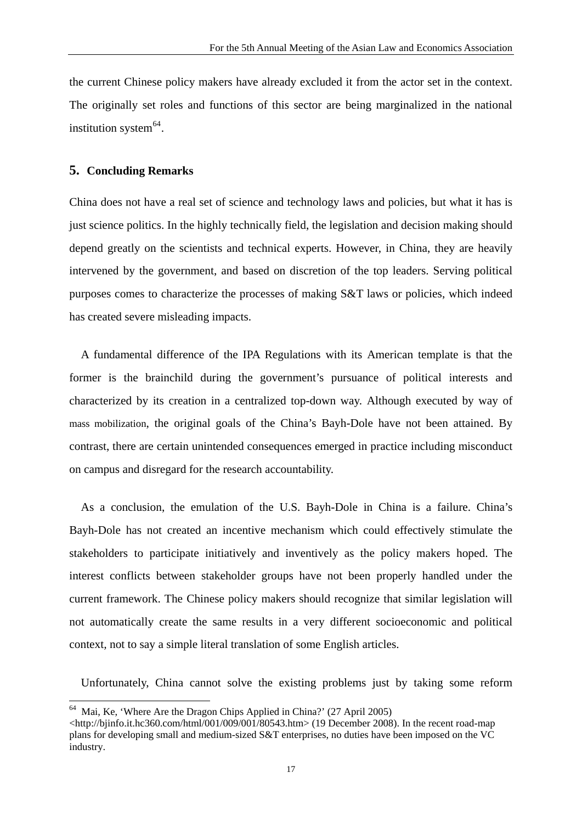the current Chinese policy makers have already excluded it from the actor set in the context. The originally set roles and functions of this sector are being marginalized in the national institution system $<sup>64</sup>$  $<sup>64</sup>$  $<sup>64</sup>$ .</sup>

#### **5. Concluding Remarks**

China does not have a real set of science and technology laws and policies, but what it has is just science politics. In the highly technically field, the legislation and decision making should depend greatly on the scientists and technical experts. However, in China, they are heavily intervened by the government, and based on discretion of the top leaders. Serving political purposes comes to characterize the processes of making S&T laws or policies, which indeed has created severe misleading impacts.

A fundamental difference of the IPA Regulations with its American template is that the former is the brainchild during the government's pursuance of political interests and characterized by its creation in a centralized top-down way. Although executed by way of mass mobilization, the original goals of the China's Bayh-Dole have not been attained. By contrast, there are certain unintended consequences emerged in practice including misconduct on campus and disregard for the research accountability.

As a conclusion, the emulation of the U.S. Bayh-Dole in China is a failure. China's Bayh-Dole has not created an incentive mechanism which could effectively stimulate the stakeholders to participate initiatively and inventively as the policy makers hoped. The interest conflicts between stakeholder groups have not been properly handled under the current framework. The Chinese policy makers should recognize that similar legislation will not automatically create the same results in a very different socioeconomic and political context*,* not to say a simple literal translation of some English articles.

Unfortunately, China cannot solve the existing problems just by taking some reform

<span id="page-17-0"></span>Mai, Ke, 'Where Are the Dragon Chips Applied in China?' (27 April 2005)

 $\lt$ http://bjinfo.it.hc360.com/html/001/009/001/80543.htm> (19 December 2008). In the recent road-map plans for developing small and medium-sized S&T enterprises, no duties have been imposed on the VC industry.